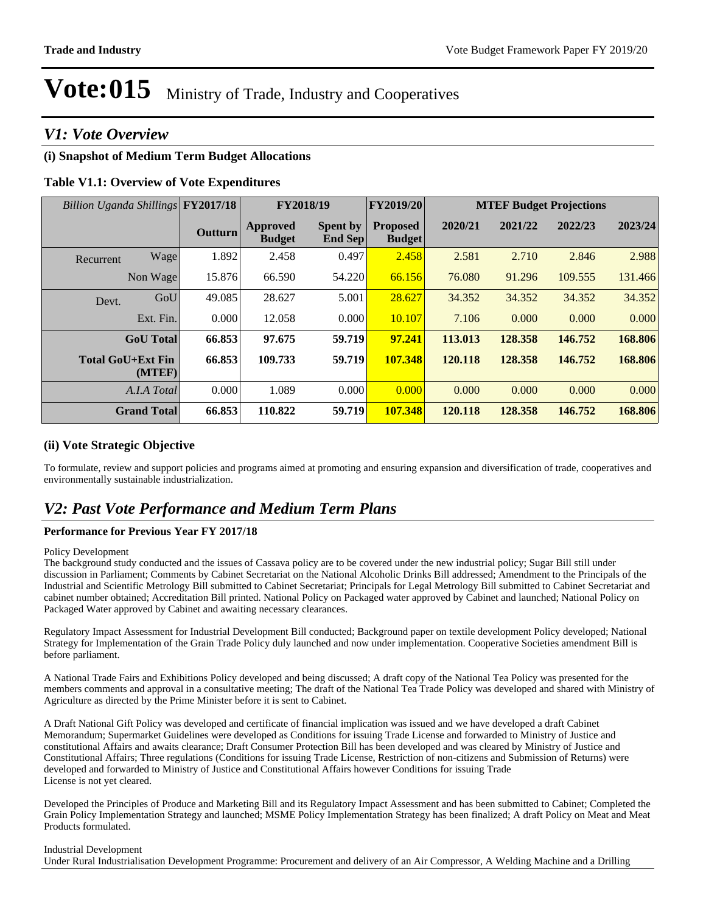#### *V1: Vote Overview*

#### **(i) Snapshot of Medium Term Budget Allocations**

#### **Table V1.1: Overview of Vote Expenditures**

| Billion Uganda Shillings FY2017/18 |                                    |                |                                  | FY2019/20<br>FY2018/19            |                                  | <b>MTEF Budget Projections</b> |         |         |         |
|------------------------------------|------------------------------------|----------------|----------------------------------|-----------------------------------|----------------------------------|--------------------------------|---------|---------|---------|
|                                    |                                    | <b>Outturn</b> | <b>Approved</b><br><b>Budget</b> | <b>Spent by</b><br><b>End Sep</b> | <b>Proposed</b><br><b>Budget</b> | 2020/21                        | 2021/22 | 2022/23 | 2023/24 |
| Recurrent                          | Wage                               | 1.892          | 2.458                            | 0.497                             | 2.458                            | 2.581                          | 2.710   | 2.846   | 2.988   |
|                                    | Non Wage                           | 15.876         | 66.590                           | 54.220                            | 66.156                           | 76.080                         | 91.296  | 109.555 | 131.466 |
| Devt.                              | GoU                                | 49.085         | 28.627                           | 5.001                             | 28.627                           | 34.352                         | 34.352  | 34.352  | 34.352  |
|                                    | Ext. Fin.                          | 0.000          | 12.058                           | 0.000                             | 10.107                           | 7.106                          | 0.000   | 0.000   | 0.000   |
|                                    | <b>GoU</b> Total                   | 66.853         | 97.675                           | 59.719                            | 97.241                           | 113.013                        | 128.358 | 146.752 | 168.806 |
|                                    | <b>Total GoU+Ext Fin</b><br>(MTEF) | 66.853         | 109.733                          | 59.719                            | 107.348                          | 120.118                        | 128.358 | 146.752 | 168.806 |
|                                    | A.I.A Total                        | 0.000          | 1.089                            | 0.000                             | 0.000                            | 0.000                          | 0.000   | 0.000   | 0.000   |
|                                    | <b>Grand Total</b>                 | 66.853         | 110.822                          | 59.719                            | 107.348                          | 120.118                        | 128.358 | 146.752 | 168.806 |

#### **(ii) Vote Strategic Objective**

To formulate, review and support policies and programs aimed at promoting and ensuring expansion and diversification of trade, cooperatives and environmentally sustainable industrialization.

#### *V2: Past Vote Performance and Medium Term Plans*

#### **Performance for Previous Year FY 2017/18**

#### Policy Development

The background study conducted and the issues of Cassava policy are to be covered under the new industrial policy; Sugar Bill still under discussion in Parliament; Comments by Cabinet Secretariat on the National Alcoholic Drinks Bill addressed; Amendment to the Principals of the Industrial and Scientific Metrology Bill submitted to Cabinet Secretariat; Principals for Legal Metrology Bill submitted to Cabinet Secretariat and cabinet number obtained; Accreditation Bill printed. National Policy on Packaged water approved by Cabinet and launched; National Policy on Packaged Water approved by Cabinet and awaiting necessary clearances.

Regulatory Impact Assessment for Industrial Development Bill conducted; Background paper on textile development Policy developed; National Strategy for Implementation of the Grain Trade Policy duly launched and now under implementation. Cooperative Societies amendment Bill is before parliament.

A National Trade Fairs and Exhibitions Policy developed and being discussed; A draft copy of the National Tea Policy was presented for the members comments and approval in a consultative meeting; The draft of the National Tea Trade Policy was developed and shared with Ministry of Agriculture as directed by the Prime Minister before it is sent to Cabinet.

A Draft National Gift Policy was developed and certificate of financial implication was issued and we have developed a draft Cabinet Memorandum; Supermarket Guidelines were developed as Conditions for issuing Trade License and forwarded to Ministry of Justice and constitutional Affairs and awaits clearance; Draft Consumer Protection Bill has been developed and was cleared by Ministry of Justice and Constitutional Affairs; Three regulations (Conditions for issuing Trade License, Restriction of non-citizens and Submission of Returns) were developed and forwarded to Ministry of Justice and Constitutional Affairs however Conditions for issuing Trade License is not yet cleared.

Developed the Principles of Produce and Marketing Bill and its Regulatory Impact Assessment and has been submitted to Cabinet; Completed the Grain Policy Implementation Strategy and launched; MSME Policy Implementation Strategy has been finalized; A draft Policy on Meat and Meat Products formulated.

#### Industrial Development

Under Rural Industrialisation Development Programme: Procurement and delivery of an Air Compressor, A Welding Machine and a Drilling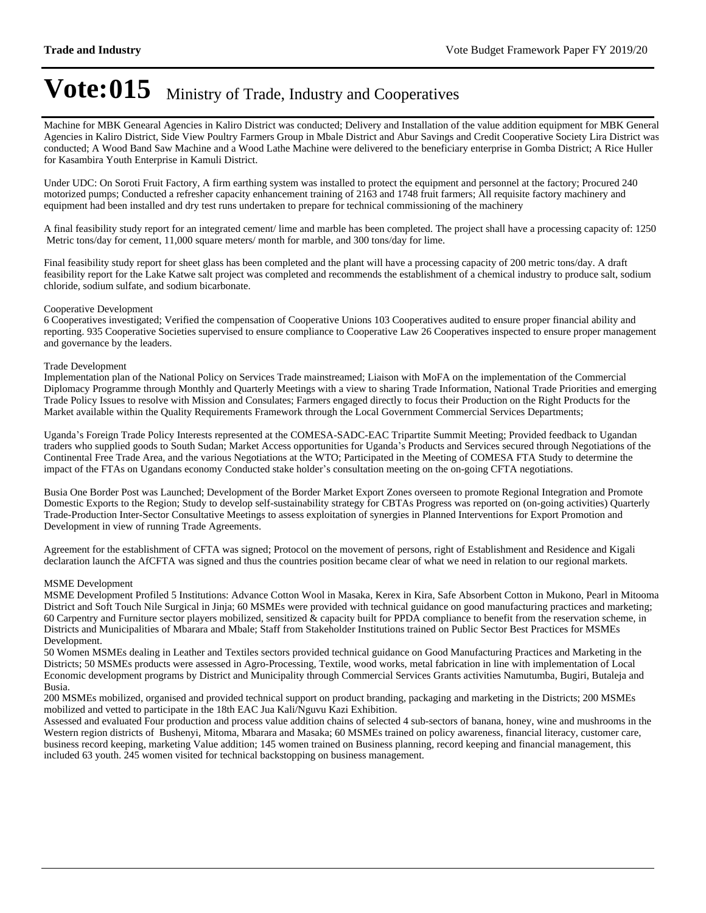Machine for MBK Genearal Agencies in Kaliro District was conducted; Delivery and Installation of the value addition equipment for MBK General Agencies in Kaliro District, Side View Poultry Farmers Group in Mbale District and Abur Savings and Credit Cooperative Society Lira District was conducted; A Wood Band Saw Machine and a Wood Lathe Machine were delivered to the beneficiary enterprise in Gomba District; A Rice Huller for Kasambira Youth Enterprise in Kamuli District.

Under UDC: On Soroti Fruit Factory, A firm earthing system was installed to protect the equipment and personnel at the factory; Procured 240 motorized pumps; Conducted a refresher capacity enhancement training of 2163 and 1748 fruit farmers; All requisite factory machinery and equipment had been installed and dry test runs undertaken to prepare for technical commissioning of the machinery

A final feasibility study report for an integrated cement/ lime and marble has been completed. The project shall have a processing capacity of: 1250 Metric tons/day for cement, 11,000 square meters/ month for marble, and 300 tons/day for lime.

Final feasibility study report for sheet glass has been completed and the plant will have a processing capacity of 200 metric tons/day. A draft feasibility report for the Lake Katwe salt project was completed and recommends the establishment of a chemical industry to produce salt, sodium chloride, sodium sulfate, and sodium bicarbonate.

#### Cooperative Development

6 Cooperatives investigated; Verified the compensation of Cooperative Unions 103 Cooperatives audited to ensure proper financial ability and reporting. 935 Cooperative Societies supervised to ensure compliance to Cooperative Law 26 Cooperatives inspected to ensure proper management and governance by the leaders.

#### Trade Development

Implementation plan of the National Policy on Services Trade mainstreamed; Liaison with MoFA on the implementation of the Commercial Diplomacy Programme through Monthly and Quarterly Meetings with a view to sharing Trade Information, National Trade Priorities and emerging Trade Policy Issues to resolve with Mission and Consulates; Farmers engaged directly to focus their Production on the Right Products for the Market available within the Quality Requirements Framework through the Local Government Commercial Services Departments;

Uganda's Foreign Trade Policy Interests represented at the COMESA-SADC-EAC Tripartite Summit Meeting; Provided feedback to Ugandan traders who supplied goods to South Sudan; Market Access opportunities for Uganda's Products and Services secured through Negotiations of the Continental Free Trade Area, and the various Negotiations at the WTO; Participated in the Meeting of COMESA FTA Study to determine the impact of the FTAs on Ugandans economy Conducted stake holder's consultation meeting on the on-going CFTA negotiations.

Busia One Border Post was Launched; Development of the Border Market Export Zones overseen to promote Regional Integration and Promote Domestic Exports to the Region; Study to develop self-sustainability strategy for CBTAs Progress was reported on (on-going activities) Quarterly Trade-Production Inter-Sector Consultative Meetings to assess exploitation of synergies in Planned Interventions for Export Promotion and Development in view of running Trade Agreements.

Agreement for the establishment of CFTA was signed; Protocol on the movement of persons, right of Establishment and Residence and Kigali declaration launch the AfCFTA was signed and thus the countries position became clear of what we need in relation to our regional markets.

#### MSME Development

MSME Development Profiled 5 Institutions: Advance Cotton Wool in Masaka, Kerex in Kira, Safe Absorbent Cotton in Mukono, Pearl in Mitooma District and Soft Touch Nile Surgical in Jinja; 60 MSMEs were provided with technical guidance on good manufacturing practices and marketing; 60 Carpentry and Furniture sector players mobilized, sensitized & capacity built for PPDA compliance to benefit from the reservation scheme, in Districts and Municipalities of Mbarara and Mbale; Staff from Stakeholder Institutions trained on Public Sector Best Practices for MSMEs Development.

50 Women MSMEs dealing in Leather and Textiles sectors provided technical guidance on Good Manufacturing Practices and Marketing in the Districts; 50 MSMEs products were assessed in Agro-Processing, Textile, wood works, metal fabrication in line with implementation of Local Economic development programs by District and Municipality through Commercial Services Grants activities Namutumba, Bugiri, Butaleja and Busia.

200 MSMEs mobilized, organised and provided technical support on product branding, packaging and marketing in the Districts; 200 MSMEs mobilized and vetted to participate in the 18th EAC Jua Kali/Nguvu Kazi Exhibition.

Assessed and evaluated Four production and process value addition chains of selected 4 sub-sectors of banana, honey, wine and mushrooms in the Western region districts of Bushenyi, Mitoma, Mbarara and Masaka; 60 MSMEs trained on policy awareness, financial literacy, customer care, business record keeping, marketing Value addition; 145 women trained on Business planning, record keeping and financial management, this included 63 youth. 245 women visited for technical backstopping on business management.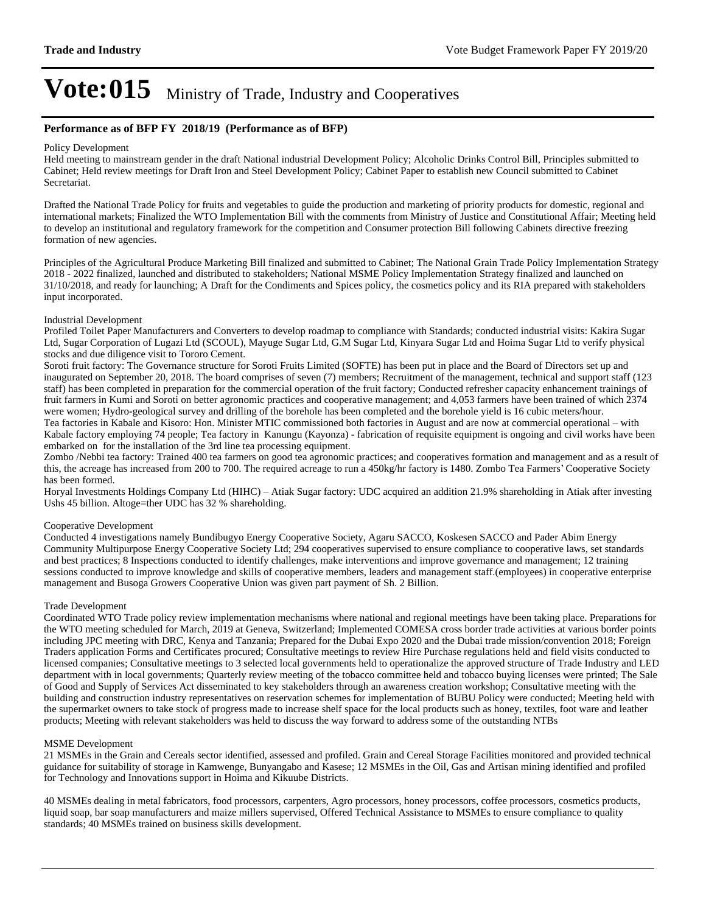#### **Performance as of BFP FY 2018/19 (Performance as of BFP)**

#### Policy Development

Held meeting to mainstream gender in the draft National industrial Development Policy; Alcoholic Drinks Control Bill, Principles submitted to Cabinet; Held review meetings for Draft Iron and Steel Development Policy; Cabinet Paper to establish new Council submitted to Cabinet Secretariat.

Drafted the National Trade Policy for fruits and vegetables to guide the production and marketing of priority products for domestic, regional and international markets; Finalized the WTO Implementation Bill with the comments from Ministry of Justice and Constitutional Affair; Meeting held to develop an institutional and regulatory framework for the competition and Consumer protection Bill following Cabinets directive freezing formation of new agencies.

Principles of the Agricultural Produce Marketing Bill finalized and submitted to Cabinet; The National Grain Trade Policy Implementation Strategy 2018 - 2022 finalized, launched and distributed to stakeholders; National MSME Policy Implementation Strategy finalized and launched on 31/10/2018, and ready for launching; A Draft for the Condiments and Spices policy, the cosmetics policy and its RIA prepared with stakeholders input incorporated.

#### Industrial Development

Profiled Toilet Paper Manufacturers and Converters to develop roadmap to compliance with Standards; conducted industrial visits: Kakira Sugar Ltd, Sugar Corporation of Lugazi Ltd (SCOUL), Mayuge Sugar Ltd, G.M Sugar Ltd, Kinyara Sugar Ltd and Hoima Sugar Ltd to verify physical stocks and due diligence visit to Tororo Cement.

Soroti fruit factory: The Governance structure for Soroti Fruits Limited (SOFTE) has been put in place and the Board of Directors set up and inaugurated on September 20, 2018. The board comprises of seven (7) members; Recruitment of the management, technical and support staff (123 staff) has been completed in preparation for the commercial operation of the fruit factory; Conducted refresher capacity enhancement trainings of fruit farmers in Kumi and Soroti on better agronomic practices and cooperative management; and 4,053 farmers have been trained of which 2374 were women; Hydro-geological survey and drilling of the borehole has been completed and the borehole yield is 16 cubic meters/hour.

Tea factories in Kabale and Kisoro: Hon. Minister MTIC commissioned both factories in August and are now at commercial operational – with Kabale factory employing 74 people; Tea factory in Kanungu (Kayonza) - fabrication of requisite equipment is ongoing and civil works have been embarked on for the installation of the 3rd line tea processing equipment.

Zombo /Nebbi tea factory: Trained 400 tea farmers on good tea agronomic practices; and cooperatives formation and management and as a result of this, the acreage has increased from 200 to 700. The required acreage to run a 450kg/hr factory is 1480. Zombo Tea Farmers' Cooperative Society has been formed.

Horyal Investments Holdings Company Ltd (HIHC) - Atiak Sugar factory: UDC acquired an addition 21.9% shareholding in Atiak after investing Ushs 45 billion. Altoge=ther UDC has 32 % shareholding.

#### Cooperative Development

Conducted 4 investigations namely Bundibugyo Energy Cooperative Society, Agaru SACCO, Koskesen SACCO and Pader Abim Energy Community Multipurpose Energy Cooperative Society Ltd; 294 cooperatives supervised to ensure compliance to cooperative laws, set standards and best practices; 8 Inspections conducted to identify challenges, make interventions and improve governance and management; 12 training sessions conducted to improve knowledge and skills of cooperative members, leaders and management staff.(employees) in cooperative enterprise management and Busoga Growers Cooperative Union was given part payment of Sh. 2 Billion.

#### Trade Development

Coordinated WTO Trade policy review implementation mechanisms where national and regional meetings have been taking place. Preparations for the WTO meeting scheduled for March, 2019 at Geneva, Switzerland; Implemented COMESA cross border trade activities at various border points including JPC meeting with DRC, Kenya and Tanzania; Prepared for the Dubai Expo 2020 and the Dubai trade mission/convention 2018; Foreign Traders application Forms and Certificates procured; Consultative meetings to review Hire Purchase regulations held and field visits conducted to licensed companies; Consultative meetings to 3 selected local governments held to operationalize the approved structure of Trade Industry and LED department with in local governments; Quarterly review meeting of the tobacco committee held and tobacco buying licenses were printed; The Sale of Good and Supply of Services Act disseminated to key stakeholders through an awareness creation workshop; Consultative meeting with the building and construction industry representatives on reservation schemes for implementation of BUBU Policy were conducted; Meeting held with the supermarket owners to take stock of progress made to increase shelf space for the local products such as honey, textiles, foot ware and leather products; Meeting with relevant stakeholders was held to discuss the way forward to address some of the outstanding NTBs

#### MSME Development

21 MSMEs in the Grain and Cereals sector identified, assessed and profiled. Grain and Cereal Storage Facilities monitored and provided technical guidance for suitability of storage in Kamwenge, Bunyangabo and Kasese; 12 MSMEs in the Oil, Gas and Artisan mining identified and profiled for Technology and Innovations support in Hoima and Kikuube Districts.

40 MSMEs dealing in metal fabricators, food processors, carpenters, Agro processors, honey processors, coffee processors, cosmetics products, liquid soap, bar soap manufacturers and maize millers supervised, Offered Technical Assistance to MSMEs to ensure compliance to quality standards; 40 MSMEs trained on business skills development.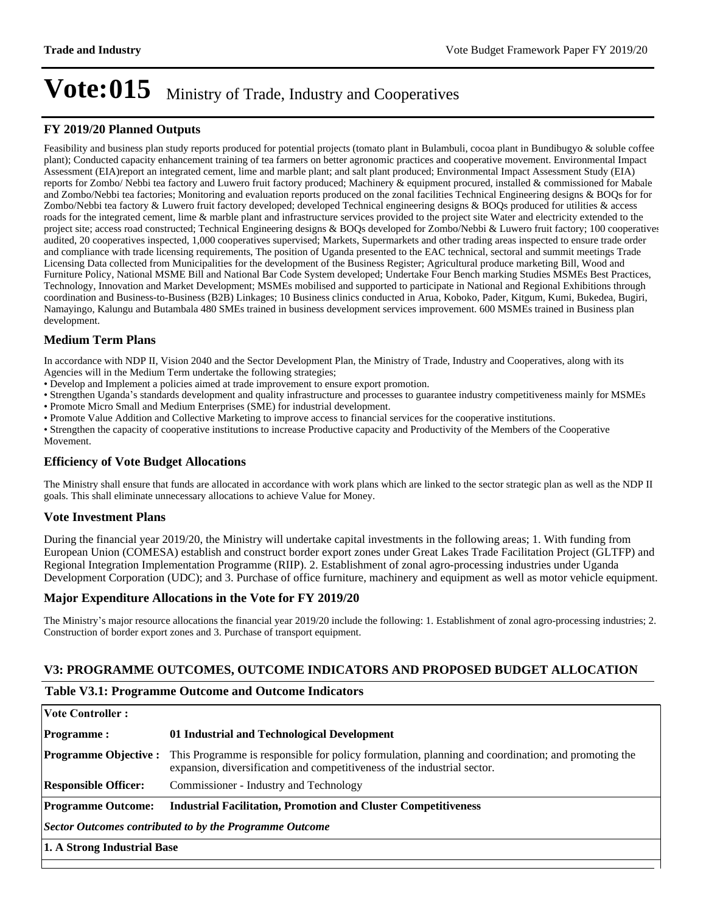#### **FY 2019/20 Planned Outputs**

Feasibility and business plan study reports produced for potential projects (tomato plant in Bulambuli, cocoa plant in Bundibugyo & soluble coffee plant); Conducted capacity enhancement training of tea farmers on better agronomic practices and cooperative movement. Environmental Impact Assessment (EIA)report an integrated cement, lime and marble plant; and salt plant produced; Environmental Impact Assessment Study (EIA) reports for Zombo/ Nebbi tea factory and Luwero fruit factory produced; Machinery & equipment procured, installed & commissioned for Mabale and Zombo/Nebbi tea factories; Monitoring and evaluation reports produced on the zonal facilities Technical Engineering designs & BOQs for for Zombo/Nebbi tea factory & Luwero fruit factory developed; developed Technical engineering designs & BOQs produced for utilities & access roads for the integrated cement, lime & marble plant and infrastructure services provided to the project site Water and electricity extended to the project site; access road constructed; Technical Engineering designs & BOQs developed for Zombo/Nebbi & Luwero fruit factory; 100 cooperatives audited, 20 cooperatives inspected, 1,000 cooperatives supervised; Markets, Supermarkets and other trading areas inspected to ensure trade order and compliance with trade licensing requirements, The position of Uganda presented to the EAC technical, sectoral and summit meetings Trade Licensing Data collected from Municipalities for the development of the Business Register; Agricultural produce marketing Bill, Wood and Furniture Policy, National MSME Bill and National Bar Code System developed; Undertake Four Bench marking Studies MSMEs Best Practices, Technology, Innovation and Market Development; MSMEs mobilised and supported to participate in National and Regional Exhibitions through coordination and Business-to-Business (B2B) Linkages; 10 Business clinics conducted in Arua, Koboko, Pader, Kitgum, Kumi, Bukedea, Bugiri, Namayingo, Kalungu and Butambala 480 SMEs trained in business development services improvement. 600 MSMEs trained in Business plan development.

#### **Medium Term Plans**

In accordance with NDP II, Vision 2040 and the Sector Development Plan, the Ministry of Trade, Industry and Cooperatives, along with its Agencies will in the Medium Term undertake the following strategies;

- Develop and Implement a policies aimed at trade improvement to ensure export promotion.
- Strengthen Uganda's standards development and quality infrastructure and processes to guarantee industry competitiveness mainly for MSMEs
- Promote Micro Small and Medium Enterprises (SME) for industrial development.
- Promote Value Addition and Collective Marketing to improve access to financial services for the cooperative institutions.
- Strengthen the capacity of cooperative institutions to increase Productive capacity and Productivity of the Members of the Cooperative Movement.

#### **Efficiency of Vote Budget Allocations**

The Ministry shall ensure that funds are allocated in accordance with work plans which are linked to the sector strategic plan as well as the NDP II goals. This shall eliminate unnecessary allocations to achieve Value for Money.

#### **Vote Investment Plans**

During the financial year 2019/20, the Ministry will undertake capital investments in the following areas; 1. With funding from European Union (COMESA) establish and construct border export zones under Great Lakes Trade Facilitation Project (GLTFP) and Regional Integration Implementation Programme (RIIP). 2. Establishment of zonal agro-processing industries under Uganda Development Corporation (UDC); and 3. Purchase of office furniture, machinery and equipment as well as motor vehicle equipment.

#### **Major Expenditure Allocations in the Vote for FY 2019/20**

The Ministry's major resource allocations the financial year 2019/20 include the following: 1. Establishment of zonal agro-processing industries; 2. Construction of border export zones and 3. Purchase of transport equipment.

#### **V3: PROGRAMME OUTCOMES, OUTCOME INDICATORS AND PROPOSED BUDGET ALLOCATION**

#### **Table V3.1: Programme Outcome and Outcome Indicators**

| <b>Vote Controller:</b>                                 |                                                                                                                                                                                |  |  |  |  |  |
|---------------------------------------------------------|--------------------------------------------------------------------------------------------------------------------------------------------------------------------------------|--|--|--|--|--|
| <b>Programme:</b>                                       | 01 Industrial and Technological Development                                                                                                                                    |  |  |  |  |  |
| <b>Programme Objective:</b>                             | This Programme is responsible for policy formulation, planning and coordination; and promoting the<br>expansion, diversification and competitiveness of the industrial sector. |  |  |  |  |  |
| <b>Responsible Officer:</b>                             | Commissioner - Industry and Technology                                                                                                                                         |  |  |  |  |  |
| <b>Programme Outcome:</b>                               | <b>Industrial Facilitation, Promotion and Cluster Competitiveness</b>                                                                                                          |  |  |  |  |  |
| Sector Outcomes contributed to by the Programme Outcome |                                                                                                                                                                                |  |  |  |  |  |
| 1. A Strong Industrial Base                             |                                                                                                                                                                                |  |  |  |  |  |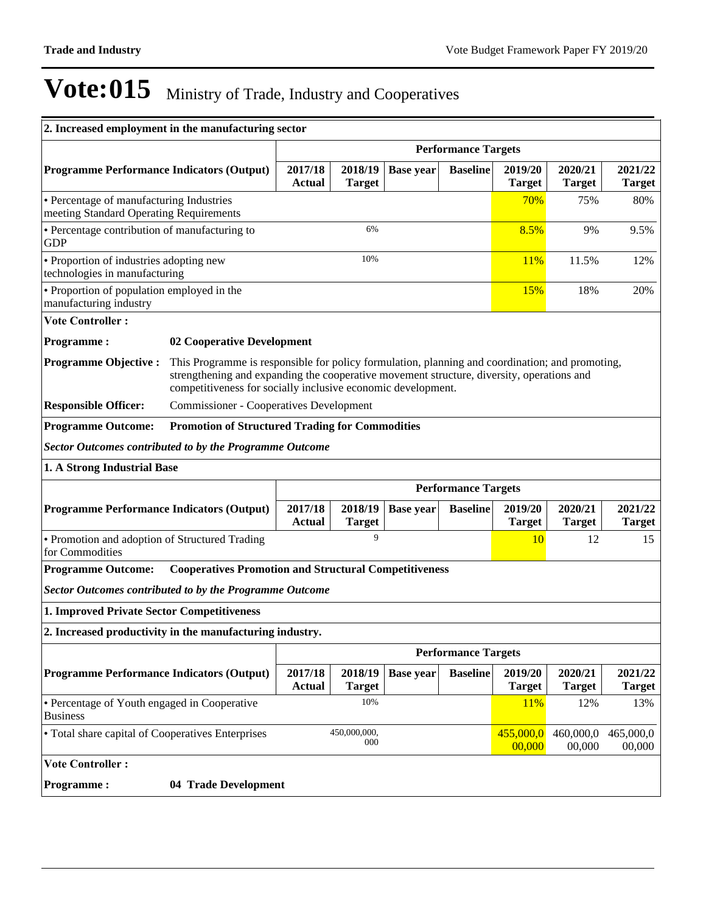$\overline{\phantom{0}}$ 

| 2. Increased employment in the manufacturing sector                                       |                                                                                                                                                                                                                                                              |                          |                          |                  |                            |                          |                          |                          |  |
|-------------------------------------------------------------------------------------------|--------------------------------------------------------------------------------------------------------------------------------------------------------------------------------------------------------------------------------------------------------------|--------------------------|--------------------------|------------------|----------------------------|--------------------------|--------------------------|--------------------------|--|
|                                                                                           |                                                                                                                                                                                                                                                              |                          |                          |                  | <b>Performance Targets</b> |                          |                          |                          |  |
| <b>Programme Performance Indicators (Output)</b>                                          |                                                                                                                                                                                                                                                              | 2017/18<br><b>Actual</b> | 2018/19<br><b>Target</b> | <b>Base year</b> | <b>Baseline</b>            | 2019/20<br><b>Target</b> | 2020/21<br><b>Target</b> | 2021/22<br><b>Target</b> |  |
| • Percentage of manufacturing Industries<br>meeting Standard Operating Requirements       |                                                                                                                                                                                                                                                              |                          |                          |                  |                            | 70%                      | 75%                      | 80%                      |  |
| • Percentage contribution of manufacturing to<br><b>GDP</b>                               |                                                                                                                                                                                                                                                              |                          | 6%                       |                  |                            | 8.5%                     | 9%                       | 9.5%                     |  |
| • Proportion of industries adopting new<br>technologies in manufacturing                  |                                                                                                                                                                                                                                                              |                          | 10%                      |                  |                            | <b>11%</b>               | 11.5%                    | 12%                      |  |
| • Proportion of population employed in the<br>manufacturing industry                      |                                                                                                                                                                                                                                                              |                          |                          |                  |                            | 15%                      | 18%                      | 20%                      |  |
| <b>Vote Controller:</b>                                                                   |                                                                                                                                                                                                                                                              |                          |                          |                  |                            |                          |                          |                          |  |
| <b>Programme:</b>                                                                         | 02 Cooperative Development                                                                                                                                                                                                                                   |                          |                          |                  |                            |                          |                          |                          |  |
| <b>Programme Objective:</b>                                                               | This Programme is responsible for policy formulation, planning and coordination; and promoting,<br>strengthening and expanding the cooperative movement structure, diversity, operations and<br>competitiveness for socially inclusive economic development. |                          |                          |                  |                            |                          |                          |                          |  |
| <b>Responsible Officer:</b>                                                               | <b>Commissioner - Cooperatives Development</b>                                                                                                                                                                                                               |                          |                          |                  |                            |                          |                          |                          |  |
| <b>Promotion of Structured Trading for Commodities</b><br><b>Programme Outcome:</b>       |                                                                                                                                                                                                                                                              |                          |                          |                  |                            |                          |                          |                          |  |
| <b>Sector Outcomes contributed to by the Programme Outcome</b>                            |                                                                                                                                                                                                                                                              |                          |                          |                  |                            |                          |                          |                          |  |
| 1. A Strong Industrial Base                                                               |                                                                                                                                                                                                                                                              |                          |                          |                  |                            |                          |                          |                          |  |
|                                                                                           | <b>Performance Targets</b>                                                                                                                                                                                                                                   |                          |                          |                  |                            |                          |                          |                          |  |
| <b>Programme Performance Indicators (Output)</b>                                          |                                                                                                                                                                                                                                                              | 2017/18<br><b>Actual</b> | 2018/19<br><b>Target</b> | <b>Base year</b> | <b>Baseline</b>            | 2019/20<br><b>Target</b> | 2020/21<br><b>Target</b> | 2021/22<br><b>Target</b> |  |
| • Promotion and adoption of Structured Trading<br>for Commodities                         |                                                                                                                                                                                                                                                              |                          | 9                        |                  |                            | <b>10</b>                | 12                       | 15                       |  |
| <b>Cooperatives Promotion and Structural Competitiveness</b><br><b>Programme Outcome:</b> |                                                                                                                                                                                                                                                              |                          |                          |                  |                            |                          |                          |                          |  |
| <b>Sector Outcomes contributed to by the Programme Outcome</b>                            |                                                                                                                                                                                                                                                              |                          |                          |                  |                            |                          |                          |                          |  |
| 1. Improved Private Sector Competitiveness                                                |                                                                                                                                                                                                                                                              |                          |                          |                  |                            |                          |                          |                          |  |
| 2. Increased productivity in the manufacturing industry.                                  |                                                                                                                                                                                                                                                              |                          |                          |                  |                            |                          |                          |                          |  |
|                                                                                           |                                                                                                                                                                                                                                                              |                          |                          |                  | <b>Performance Targets</b> |                          |                          |                          |  |
| <b>Programme Performance Indicators (Output)</b>                                          |                                                                                                                                                                                                                                                              | 2017/18<br><b>Actual</b> | 2018/19<br><b>Target</b> | <b>Base year</b> | <b>Baseline</b>            | 2019/20<br><b>Target</b> | 2020/21<br><b>Target</b> | 2021/22<br><b>Target</b> |  |
| • Percentage of Youth engaged in Cooperative<br><b>Business</b>                           |                                                                                                                                                                                                                                                              |                          | 10%                      |                  |                            | <b>11%</b>               | 12%                      | 13%                      |  |
| 450,000,000,<br>· Total share capital of Cooperatives Enterprises<br>000                  |                                                                                                                                                                                                                                                              |                          |                          |                  |                            | 455,000,0<br>00,000      | 460,000,0<br>00,000      | 465,000,0<br>00,000      |  |
| <b>Vote Controller:</b><br><b>Programme:</b>                                              | 04 Trade Development                                                                                                                                                                                                                                         |                          |                          |                  |                            |                          |                          |                          |  |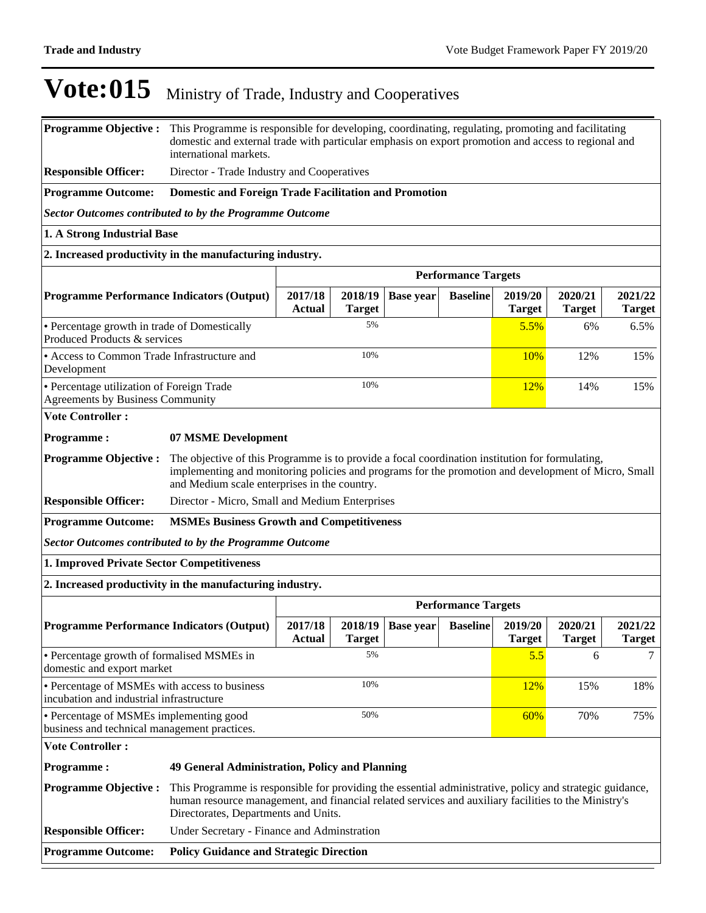**Programme Objective :** This Programme is responsible for developing, coordinating, regulating, promoting and facilitating domestic and external trade with particular emphasis on export promotion and access to regional and international markets. **Responsible Officer:** Director - Trade Industry and Cooperatives **Programme Outcome: Domestic and Foreign Trade Facilitation and Promotion** *Sector Outcomes contributed to by the Programme Outcome* **1. A Strong Industrial Base 2. Increased productivity in the manufacturing industry. Performance Targets Programme Performance Indicators (Output) 2017/18 Actual 2018/19 Target Base year Baseline 2019/20 Target 2020/21 Target 2021/22 Target**  Percentage growth in trade of Domestically Produced Products & services 5% 6.5% 6% 6.5% Access to Common Trade Infrastructure and Development 10% 10% 10% 12% 15% Percentage utilization of Foreign Trade Agreements by Business Community 10% 10% 12% 14% 15% **Vote Controller: Programme : 07 MSME Development Programme Objective :** The objective of this Programme is to provide a focal coordination institution for formulating, implementing and monitoring policies and programs for the promotion and development of Micro, Small and Medium scale enterprises in the country. **Responsible Officer:** Director - Micro, Small and Medium Enterprises **Programme Outcome: MSMEs Business Growth and Competitiveness** *Sector Outcomes contributed to by the Programme Outcome* **1. Improved Private Sector Competitiveness 2. Increased productivity in the manufacturing industry. Performance Targets Programme Performance Indicators (Output) 2017/18 Actual 2018/19 Target Base year Baseline 2019/20 Target 2020/21 Target 2021/22 Target**  Percentage growth of formalised MSMEs in domestic and export market 5% 6 7 Percentage of MSMEs with access to business incubation and industrial infrastructure 10% 10% 12% 15% 18% Percentage of MSMEs implementing good business and technical management practices. 50% 50% 70% 75% **Vote Controller : Programme : 49 General Administration, Policy and Planning Programme Objective :** This Programme is responsible for providing the essential administrative, policy and strategic guidance, human resource management, and financial related services and auxiliary facilities to the Ministry's Directorates, Departments and Units. **Responsible Officer:** Under Secretary - Finance and Adminstration **Programme Outcome: Policy Guidance and Strategic Direction**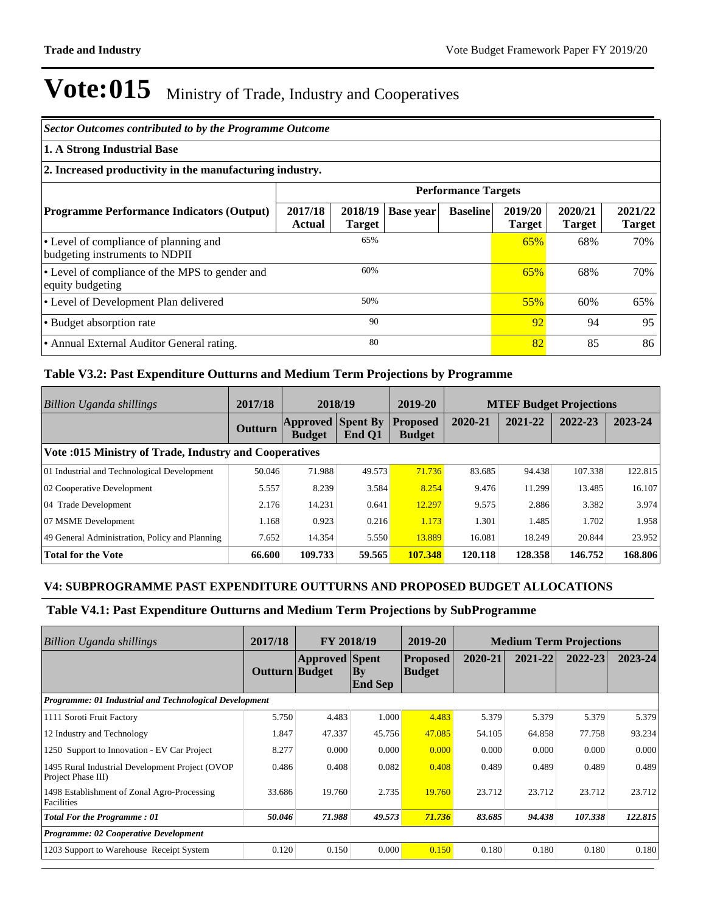| Sector Outcomes contributed to by the Programme Outcome                 |                            |                          |                  |                 |                          |                          |                          |  |  |  |
|-------------------------------------------------------------------------|----------------------------|--------------------------|------------------|-----------------|--------------------------|--------------------------|--------------------------|--|--|--|
| 1. A Strong Industrial Base                                             |                            |                          |                  |                 |                          |                          |                          |  |  |  |
| 2. Increased productivity in the manufacturing industry.                |                            |                          |                  |                 |                          |                          |                          |  |  |  |
|                                                                         | <b>Performance Targets</b> |                          |                  |                 |                          |                          |                          |  |  |  |
| <b>Programme Performance Indicators (Output)</b>                        | 2017/18<br>Actual          | 2018/19<br><b>Target</b> | <b>Base year</b> | <b>Baseline</b> | 2019/20<br><b>Target</b> | 2020/21<br><b>Target</b> | 2021/22<br><b>Target</b> |  |  |  |
| • Level of compliance of planning and<br>budgeting instruments to NDPII |                            | 65%                      |                  |                 | 65%                      | 68%                      | 70%                      |  |  |  |
| • Level of compliance of the MPS to gender and<br>equity budgeting      | 60%                        |                          |                  |                 | 65%                      | 68%                      | 70%                      |  |  |  |
| • Level of Development Plan delivered                                   | 50%                        |                          |                  |                 | 55%                      | 60%                      | 65%                      |  |  |  |
| • Budget absorption rate                                                | 90                         |                          |                  |                 | 92                       | 94                       | 95                       |  |  |  |
| • Annual External Auditor General rating.                               |                            | 80                       |                  |                 | 82                       | 85                       | 86                       |  |  |  |

#### **Table V3.2: Past Expenditure Outturns and Medium Term Projections by Programme**

| Billion Uganda shillings                               | 2017/18 | 2018/19                          |                           | 2019-20                          |         | <b>MTEF Budget Projections</b> |         |         |  |  |
|--------------------------------------------------------|---------|----------------------------------|---------------------------|----------------------------------|---------|--------------------------------|---------|---------|--|--|
|                                                        | Outturn | <b>Approved</b><br><b>Budget</b> | <b>Spent By</b><br>End O1 | <b>Proposed</b><br><b>Budget</b> | 2020-21 | 2021-22                        | 2022-23 | 2023-24 |  |  |
| Vote :015 Ministry of Trade, Industry and Cooperatives |         |                                  |                           |                                  |         |                                |         |         |  |  |
| 01 Industrial and Technological Development            | 50.046  | 71.988                           | 49.573                    | 71.736                           | 83.685  | 94.438                         | 107.338 | 122.815 |  |  |
| 02 Cooperative Development                             | 5.557   | 8.239                            | 3.584                     | 8.254                            | 9.476   | 11.299                         | 13.485  | 16.107  |  |  |
| 04 Trade Development                                   | 2.176   | 14.231                           | 0.641                     | 12.297                           | 9.575   | 2.886                          | 3.382   | 3.974   |  |  |
| 07 MSME Development                                    | 1.168   | 0.923                            | 0.216                     | 1.173                            | 1.301   | 1.485                          | 1.702   | 1.958   |  |  |
| 49 General Administration, Policy and Planning         | 7.652   | 14.354                           | 5.550                     | 13.889                           | 16.081  | 18.249                         | 20.844  | 23.952  |  |  |
| <b>Total for the Vote</b>                              | 66.600  | 109.733                          | 59.565                    | 107.348                          | 120.118 | 128.358                        | 146.752 | 168.806 |  |  |

#### **V4: SUBPROGRAMME PAST EXPENDITURE OUTTURNS AND PROPOSED BUDGET ALLOCATIONS**

#### **Table V4.1: Past Expenditure Outturns and Medium Term Projections by SubProgramme**

| <b>Billion Uganda shillings</b>                                               | 2017/18        | FY 2018/19            |                                          | 2019-20                          | <b>Medium Term Projections</b> |         |         |             |
|-------------------------------------------------------------------------------|----------------|-----------------------|------------------------------------------|----------------------------------|--------------------------------|---------|---------|-------------|
|                                                                               | Outturn Budget | <b>Approved Spent</b> | $\mathbf{B}\mathbf{y}$<br><b>End Sep</b> | <b>Proposed</b><br><b>Budget</b> | 2020-21                        | 2021-22 | 2022-23 | $2023 - 24$ |
| Programme: 01 Industrial and Technological Development                        |                |                       |                                          |                                  |                                |         |         |             |
| 1111 Soroti Fruit Factory                                                     | 5.750          | 4.483                 | 1.000                                    | 4.483                            | 5.379                          | 5.379   | 5.379   | 5.379       |
| 12 Industry and Technology                                                    | 1.847          | 47.337                | 45.756                                   | 47.085                           | 54.105                         | 64.858  | 77.758  | 93.234      |
| 1250 Support to Innovation - EV Car Project                                   | 8.277          | 0.000                 | 0.000                                    | 0.000                            | 0.000                          | 0.000   | 0.000   | 0.000       |
| 1495 Rural Industrial Development Project (OVOP<br><b>Project Phase III</b> ) | 0.486          | 0.408                 | 0.082                                    | 0.408                            | 0.489                          | 0.489   | 0.489   | 0.489       |
| 1498 Establishment of Zonal Agro-Processing<br>Facilities                     | 33.686         | 19.760                | 2.735                                    | 19.760                           | 23.712                         | 23.712  | 23.712  | 23.712      |
| <b>Total For the Programme: 01</b>                                            | 50.046         | 71.988                | 49.573                                   | 71.736                           | 83.685                         | 94.438  | 107.338 | 122.815     |
| Programme: 02 Cooperative Development                                         |                |                       |                                          |                                  |                                |         |         |             |
| 1203 Support to Warehouse Receipt System                                      | 0.120          | 0.150                 | 0.000                                    | 0.150                            | 0.180                          | 0.180   | 0.180   | 0.180       |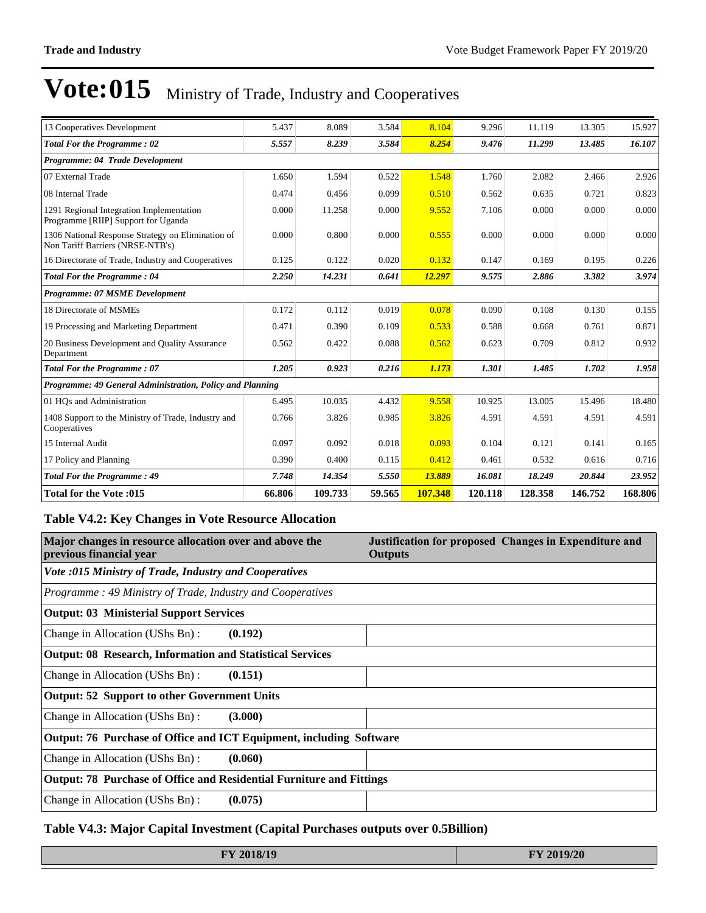| 13 Cooperatives Development                                                           | 5.437  | 8.089   | 3.584  | 8.104   | 9.296   | 11.119  | 13.305  | 15.927  |
|---------------------------------------------------------------------------------------|--------|---------|--------|---------|---------|---------|---------|---------|
| <b>Total For the Programme: 02</b>                                                    | 5.557  | 8.239   | 3.584  | 8.254   | 9.476   | 11.299  | 13.485  | 16.107  |
| Programme: 04 Trade Development                                                       |        |         |        |         |         |         |         |         |
| 07 External Trade                                                                     | 1.650  | 1.594   | 0.522  | 1.548   | 1.760   | 2.082   | 2.466   | 2.926   |
| 08 Internal Trade                                                                     | 0.474  | 0.456   | 0.099  | 0.510   | 0.562   | 0.635   | 0.721   | 0.823   |
| 1291 Regional Integration Implementation<br>Programme [RIIP] Support for Uganda       | 0.000  | 11.258  | 0.000  | 9.552   | 7.106   | 0.000   | 0.000   | 0.000   |
| 1306 National Response Strategy on Elimination of<br>Non Tariff Barriers (NRSE-NTB's) | 0.000  | 0.800   | 0.000  | 0.555   | 0.000   | 0.000   | 0.000   | 0.000   |
| 16 Directorate of Trade, Industry and Cooperatives                                    | 0.125  | 0.122   | 0.020  | 0.132   | 0.147   | 0.169   | 0.195   | 0.226   |
| <b>Total For the Programme: 04</b>                                                    | 2.250  | 14.231  | 0.641  | 12.297  | 9.575   | 2.886   | 3.382   | 3.974   |
| Programme: 07 MSME Development                                                        |        |         |        |         |         |         |         |         |
| 18 Directorate of MSMEs                                                               | 0.172  | 0.112   | 0.019  | 0.078   | 0.090   | 0.108   | 0.130   | 0.155   |
| 19 Processing and Marketing Department                                                | 0.471  | 0.390   | 0.109  | 0.533   | 0.588   | 0.668   | 0.761   | 0.871   |
| 20 Business Development and Quality Assurance<br>Department                           | 0.562  | 0.422   | 0.088  | 0.562   | 0.623   | 0.709   | 0.812   | 0.932   |
| <b>Total For the Programme: 07</b>                                                    | 1.205  | 0.923   | 0.216  | 1.173   | 1.301   | 1.485   | 1.702   | 1.958   |
| Programme: 49 General Administration, Policy and Planning                             |        |         |        |         |         |         |         |         |
| 01 HOs and Administration                                                             | 6.495  | 10.035  | 4.432  | 9.558   | 10.925  | 13.005  | 15.496  | 18.480  |
| 1408 Support to the Ministry of Trade, Industry and<br>Cooperatives                   | 0.766  | 3.826   | 0.985  | 3.826   | 4.591   | 4.591   | 4.591   | 4.591   |
| 15 Internal Audit                                                                     | 0.097  | 0.092   | 0.018  | 0.093   | 0.104   | 0.121   | 0.141   | 0.165   |
| 17 Policy and Planning                                                                | 0.390  | 0.400   | 0.115  | 0.412   | 0.461   | 0.532   | 0.616   | 0.716   |
| <b>Total For the Programme: 49</b>                                                    | 7.748  | 14.354  | 5.550  | 13.889  | 16.081  | 18.249  | 20.844  | 23.952  |
| <b>Total for the Vote:015</b>                                                         | 66.806 | 109.733 | 59.565 | 107.348 | 120.118 | 128.358 | 146.752 | 168.806 |

#### **Table V4.2: Key Changes in Vote Resource Allocation**

| Major changes in resource allocation over and above the<br>previous financial year |                                                                     | Justification for proposed Changes in Expenditure and<br>Outputs |  |  |  |  |  |  |  |
|------------------------------------------------------------------------------------|---------------------------------------------------------------------|------------------------------------------------------------------|--|--|--|--|--|--|--|
| Vote :015 Ministry of Trade, Industry and Cooperatives                             |                                                                     |                                                                  |  |  |  |  |  |  |  |
| Programme: 49 Ministry of Trade, Industry and Cooperatives                         |                                                                     |                                                                  |  |  |  |  |  |  |  |
| <b>Output: 03 Ministerial Support Services</b>                                     |                                                                     |                                                                  |  |  |  |  |  |  |  |
| Change in Allocation (UShs Bn):                                                    | (0.192)                                                             |                                                                  |  |  |  |  |  |  |  |
| <b>Output: 08 Research, Information and Statistical Services</b>                   |                                                                     |                                                                  |  |  |  |  |  |  |  |
| Change in Allocation (UShs Bn):                                                    | (0.151)                                                             |                                                                  |  |  |  |  |  |  |  |
| <b>Output: 52 Support to other Government Units</b>                                |                                                                     |                                                                  |  |  |  |  |  |  |  |
| Change in Allocation (UShs Bn):                                                    | (3.000)                                                             |                                                                  |  |  |  |  |  |  |  |
|                                                                                    | Output: 76 Purchase of Office and ICT Equipment, including Software |                                                                  |  |  |  |  |  |  |  |
| Change in Allocation (UShs Bn):                                                    | (0.060)                                                             |                                                                  |  |  |  |  |  |  |  |
| Output: 78 Purchase of Office and Residential Furniture and Fittings               |                                                                     |                                                                  |  |  |  |  |  |  |  |
| Change in Allocation (UShs Bn):                                                    | (0.075)                                                             |                                                                  |  |  |  |  |  |  |  |

#### **Table V4.3: Major Capital Investment (Capital Purchases outputs over 0.5Billion)**

| FY 2019/20 |
|------------|
|------------|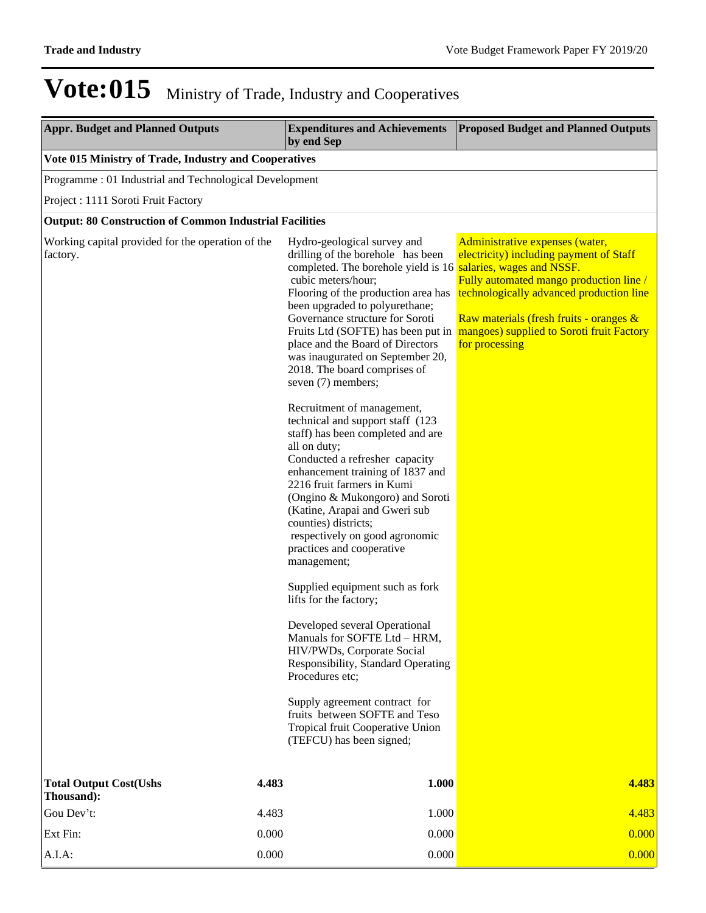| <b>Appr. Budget and Planned Outputs</b>                        |       | <b>Expenditures and Achievements</b><br>by end Sep                                                                                                                                                                                                                                                                                                                                                                                                                                                         | <b>Proposed Budget and Planned Outputs</b>                                                                                                                                                                                                                                     |
|----------------------------------------------------------------|-------|------------------------------------------------------------------------------------------------------------------------------------------------------------------------------------------------------------------------------------------------------------------------------------------------------------------------------------------------------------------------------------------------------------------------------------------------------------------------------------------------------------|--------------------------------------------------------------------------------------------------------------------------------------------------------------------------------------------------------------------------------------------------------------------------------|
| Vote 015 Ministry of Trade, Industry and Cooperatives          |       |                                                                                                                                                                                                                                                                                                                                                                                                                                                                                                            |                                                                                                                                                                                                                                                                                |
| Programme: 01 Industrial and Technological Development         |       |                                                                                                                                                                                                                                                                                                                                                                                                                                                                                                            |                                                                                                                                                                                                                                                                                |
| Project : 1111 Soroti Fruit Factory                            |       |                                                                                                                                                                                                                                                                                                                                                                                                                                                                                                            |                                                                                                                                                                                                                                                                                |
| <b>Output: 80 Construction of Common Industrial Facilities</b> |       |                                                                                                                                                                                                                                                                                                                                                                                                                                                                                                            |                                                                                                                                                                                                                                                                                |
| Working capital provided for the operation of the<br>factory.  |       | Hydro-geological survey and<br>drilling of the borehole has been<br>completed. The borehole yield is 16 salaries, wages and NSSF.<br>cubic meters/hour;<br>Flooring of the production area has<br>been upgraded to polyurethane;<br>Governance structure for Soroti<br>Fruits Ltd (SOFTE) has been put in<br>place and the Board of Directors<br>was inaugurated on September 20,<br>2018. The board comprises of<br>seven (7) members;<br>Recruitment of management,<br>technical and support staff (123) | Administrative expenses (water,<br>electricity) including payment of Staff<br>Fully automated mango production line /<br>technologically advanced production line<br>Raw materials (fresh fruits - oranges $\&$<br>mangoes) supplied to Soroti fruit Factory<br>for processing |
|                                                                |       | staff) has been completed and are<br>all on duty;<br>Conducted a refresher capacity<br>enhancement training of 1837 and<br>2216 fruit farmers in Kumi<br>(Ongino & Mukongoro) and Soroti<br>(Katine, Arapai and Gweri sub<br>counties) districts;<br>respectively on good agronomic<br>practices and cooperative<br>management;                                                                                                                                                                            |                                                                                                                                                                                                                                                                                |
|                                                                |       | Supplied equipment such as fork<br>lifts for the factory;                                                                                                                                                                                                                                                                                                                                                                                                                                                  |                                                                                                                                                                                                                                                                                |
|                                                                |       | Developed several Operational<br>Manuals for SOFTE Ltd - HRM,<br>HIV/PWDs, Corporate Social<br>Responsibility, Standard Operating<br>Procedures etc:                                                                                                                                                                                                                                                                                                                                                       |                                                                                                                                                                                                                                                                                |
|                                                                |       | Supply agreement contract for<br>fruits between SOFTE and Teso<br>Tropical fruit Cooperative Union<br>(TEFCU) has been signed;                                                                                                                                                                                                                                                                                                                                                                             |                                                                                                                                                                                                                                                                                |
| <b>Total Output Cost(Ushs</b><br>Thousand):                    | 4.483 | 1.000                                                                                                                                                                                                                                                                                                                                                                                                                                                                                                      | 4.483                                                                                                                                                                                                                                                                          |
| Gou Dev't:                                                     | 4.483 | 1.000                                                                                                                                                                                                                                                                                                                                                                                                                                                                                                      | 4.483                                                                                                                                                                                                                                                                          |
| Ext Fin:                                                       | 0.000 | 0.000                                                                                                                                                                                                                                                                                                                                                                                                                                                                                                      | 0.000                                                                                                                                                                                                                                                                          |
| A.I.A:                                                         | 0.000 | 0.000                                                                                                                                                                                                                                                                                                                                                                                                                                                                                                      | 0.000                                                                                                                                                                                                                                                                          |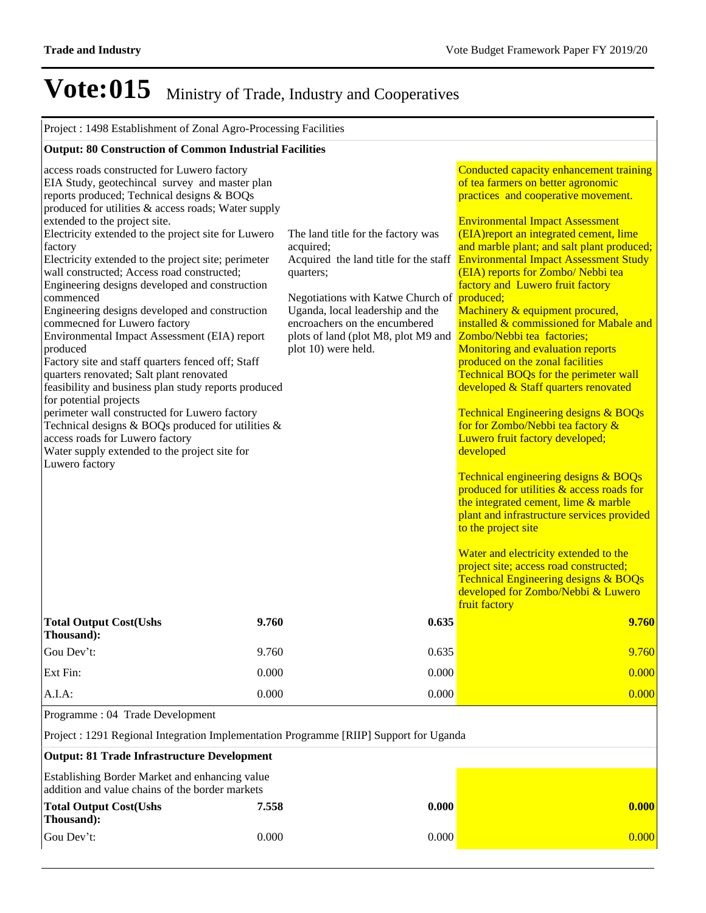| Project : 1498 Establishment of Zonal Agro-Processing Facilities                                                                                                                                                                                                                                                                                                                                                                                                                                                                                                                                                                                                                                                                                                                                                                                                                                                                                                                                                       |       |                                                                                                                                                                                                                                                                               |                                                                                                                                                                                                                                                                                                                                                                                                                                                                                                                                                                                                                                                                                                                                                                                                                                                                                                                                                                                                                                                                                                                                                                                                  |  |  |  |  |  |
|------------------------------------------------------------------------------------------------------------------------------------------------------------------------------------------------------------------------------------------------------------------------------------------------------------------------------------------------------------------------------------------------------------------------------------------------------------------------------------------------------------------------------------------------------------------------------------------------------------------------------------------------------------------------------------------------------------------------------------------------------------------------------------------------------------------------------------------------------------------------------------------------------------------------------------------------------------------------------------------------------------------------|-------|-------------------------------------------------------------------------------------------------------------------------------------------------------------------------------------------------------------------------------------------------------------------------------|--------------------------------------------------------------------------------------------------------------------------------------------------------------------------------------------------------------------------------------------------------------------------------------------------------------------------------------------------------------------------------------------------------------------------------------------------------------------------------------------------------------------------------------------------------------------------------------------------------------------------------------------------------------------------------------------------------------------------------------------------------------------------------------------------------------------------------------------------------------------------------------------------------------------------------------------------------------------------------------------------------------------------------------------------------------------------------------------------------------------------------------------------------------------------------------------------|--|--|--|--|--|
| <b>Output: 80 Construction of Common Industrial Facilities</b>                                                                                                                                                                                                                                                                                                                                                                                                                                                                                                                                                                                                                                                                                                                                                                                                                                                                                                                                                         |       |                                                                                                                                                                                                                                                                               |                                                                                                                                                                                                                                                                                                                                                                                                                                                                                                                                                                                                                                                                                                                                                                                                                                                                                                                                                                                                                                                                                                                                                                                                  |  |  |  |  |  |
| access roads constructed for Luwero factory<br>EIA Study, geotechincal survey and master plan<br>reports produced; Technical designs & BOQs<br>produced for utilities & access roads; Water supply<br>extended to the project site.<br>Electricity extended to the project site for Luwero<br>factory<br>Electricity extended to the project site; perimeter<br>wall constructed; Access road constructed;<br>Engineering designs developed and construction<br>commenced<br>Engineering designs developed and construction<br>commecned for Luwero factory<br>Environmental Impact Assessment (EIA) report<br>produced<br>Factory site and staff quarters fenced off; Staff<br>quarters renovated; Salt plant renovated<br>feasibility and business plan study reports produced<br>for potential projects<br>perimeter wall constructed for Luwero factory<br>Technical designs & BOQs produced for utilities &<br>access roads for Luwero factory<br>Water supply extended to the project site for<br>Luwero factory |       | The land title for the factory was<br>acquired;<br>Acquired the land title for the staff<br>quarters;<br>Negotiations with Katwe Church of<br>Uganda, local leadership and the<br>encroachers on the encumbered<br>plots of land (plot M8, plot M9 and<br>plot 10) were held. | Conducted capacity enhancement training<br>of tea farmers on better agronomic<br>practices and cooperative movement.<br><b>Environmental Impact Assessment</b><br>(EIA) report an integrated cement, lime<br>and marble plant; and salt plant produced;<br><b>Environmental Impact Assessment Study</b><br>(EIA) reports for Zombo/ Nebbi tea<br>factory and Luwero fruit factory<br>produced;<br>Machinery & equipment procured,<br>installed & commissioned for Mabale and<br>Zombo/Nebbi tea factories;<br>Monitoring and evaluation reports<br>produced on the zonal facilities<br>Technical BOQs for the perimeter wall<br>developed & Staff quarters renovated<br><b>Technical Engineering designs &amp; BOQs</b><br>for for Zombo/Nebbi tea factory &<br>Luwero fruit factory developed;<br>developed<br>Technical engineering designs & BOQs<br>produced for utilities & access roads for<br>the integrated cement, lime & marble<br>plant and infrastructure services provided<br>to the project site<br>Water and electricity extended to the<br>project site; access road constructed;<br>Technical Engineering designs & BOQs<br>developed for Zombo/Nebbi & Luwero<br>fruit factory |  |  |  |  |  |
| <b>Total Output Cost(Ushs</b><br>Thousand):                                                                                                                                                                                                                                                                                                                                                                                                                                                                                                                                                                                                                                                                                                                                                                                                                                                                                                                                                                            | 9.760 | 0.635                                                                                                                                                                                                                                                                         | 9.760                                                                                                                                                                                                                                                                                                                                                                                                                                                                                                                                                                                                                                                                                                                                                                                                                                                                                                                                                                                                                                                                                                                                                                                            |  |  |  |  |  |
| Gou Dev't:                                                                                                                                                                                                                                                                                                                                                                                                                                                                                                                                                                                                                                                                                                                                                                                                                                                                                                                                                                                                             | 9.760 | 0.635                                                                                                                                                                                                                                                                         | 9.760                                                                                                                                                                                                                                                                                                                                                                                                                                                                                                                                                                                                                                                                                                                                                                                                                                                                                                                                                                                                                                                                                                                                                                                            |  |  |  |  |  |
| Ext Fin:                                                                                                                                                                                                                                                                                                                                                                                                                                                                                                                                                                                                                                                                                                                                                                                                                                                                                                                                                                                                               | 0.000 | 0.000                                                                                                                                                                                                                                                                         | 0.000                                                                                                                                                                                                                                                                                                                                                                                                                                                                                                                                                                                                                                                                                                                                                                                                                                                                                                                                                                                                                                                                                                                                                                                            |  |  |  |  |  |
| A.I.A:                                                                                                                                                                                                                                                                                                                                                                                                                                                                                                                                                                                                                                                                                                                                                                                                                                                                                                                                                                                                                 | 0.000 | 0.000                                                                                                                                                                                                                                                                         | 0.000                                                                                                                                                                                                                                                                                                                                                                                                                                                                                                                                                                                                                                                                                                                                                                                                                                                                                                                                                                                                                                                                                                                                                                                            |  |  |  |  |  |
| Programme: 04 Trade Development                                                                                                                                                                                                                                                                                                                                                                                                                                                                                                                                                                                                                                                                                                                                                                                                                                                                                                                                                                                        |       |                                                                                                                                                                                                                                                                               |                                                                                                                                                                                                                                                                                                                                                                                                                                                                                                                                                                                                                                                                                                                                                                                                                                                                                                                                                                                                                                                                                                                                                                                                  |  |  |  |  |  |
| Project : 1291 Regional Integration Implementation Programme [RIIP] Support for Uganda                                                                                                                                                                                                                                                                                                                                                                                                                                                                                                                                                                                                                                                                                                                                                                                                                                                                                                                                 |       |                                                                                                                                                                                                                                                                               |                                                                                                                                                                                                                                                                                                                                                                                                                                                                                                                                                                                                                                                                                                                                                                                                                                                                                                                                                                                                                                                                                                                                                                                                  |  |  |  |  |  |
| <b>Output: 81 Trade Infrastructure Development</b>                                                                                                                                                                                                                                                                                                                                                                                                                                                                                                                                                                                                                                                                                                                                                                                                                                                                                                                                                                     |       |                                                                                                                                                                                                                                                                               |                                                                                                                                                                                                                                                                                                                                                                                                                                                                                                                                                                                                                                                                                                                                                                                                                                                                                                                                                                                                                                                                                                                                                                                                  |  |  |  |  |  |
| Establishing Border Market and enhancing value<br>addition and value chains of the border markets                                                                                                                                                                                                                                                                                                                                                                                                                                                                                                                                                                                                                                                                                                                                                                                                                                                                                                                      |       |                                                                                                                                                                                                                                                                               |                                                                                                                                                                                                                                                                                                                                                                                                                                                                                                                                                                                                                                                                                                                                                                                                                                                                                                                                                                                                                                                                                                                                                                                                  |  |  |  |  |  |
| <b>Total Output Cost(Ushs</b><br>Thousand):                                                                                                                                                                                                                                                                                                                                                                                                                                                                                                                                                                                                                                                                                                                                                                                                                                                                                                                                                                            | 7.558 | 0.000                                                                                                                                                                                                                                                                         | 0.000                                                                                                                                                                                                                                                                                                                                                                                                                                                                                                                                                                                                                                                                                                                                                                                                                                                                                                                                                                                                                                                                                                                                                                                            |  |  |  |  |  |
| Gou Dev't:                                                                                                                                                                                                                                                                                                                                                                                                                                                                                                                                                                                                                                                                                                                                                                                                                                                                                                                                                                                                             | 0.000 | 0.000                                                                                                                                                                                                                                                                         | 0.000                                                                                                                                                                                                                                                                                                                                                                                                                                                                                                                                                                                                                                                                                                                                                                                                                                                                                                                                                                                                                                                                                                                                                                                            |  |  |  |  |  |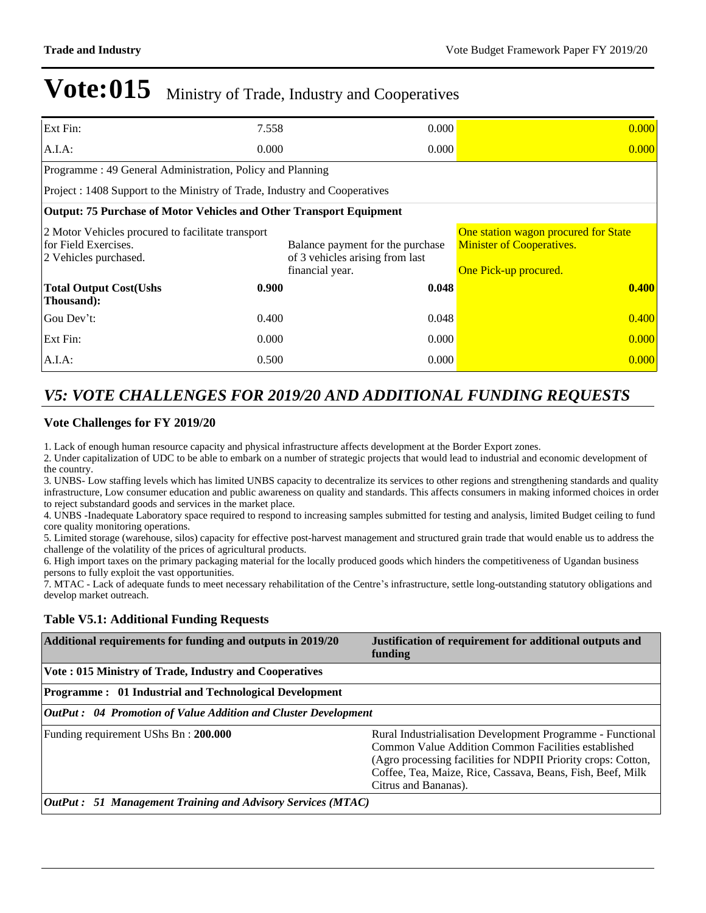| Ext Fin:                                                                   | 7.558                                | 0.000                                                               | 0.000                            |  |  |
|----------------------------------------------------------------------------|--------------------------------------|---------------------------------------------------------------------|----------------------------------|--|--|
| $\mathbf{A}.\mathbf{I}.\mathbf{A}$ :                                       | 0.000                                | 0.000                                                               | 0.000                            |  |  |
| Programme: 49 General Administration, Policy and Planning                  |                                      |                                                                     |                                  |  |  |
| Project : 1408 Support to the Ministry of Trade, Industry and Cooperatives |                                      |                                                                     |                                  |  |  |
| Output: 75 Purchase of Motor Vehicles and Other Transport Equipment        |                                      |                                                                     |                                  |  |  |
| 2 Motor Vehicles procured to facilitate transport                          | One station wagon procured for State |                                                                     |                                  |  |  |
| for Field Exercises.<br>2 Vehicles purchased.                              |                                      | Balance payment for the purchase<br>of 3 vehicles arising from last | <b>Minister of Cooperatives.</b> |  |  |
|                                                                            |                                      | financial year.                                                     | One Pick-up procured.            |  |  |
| <b>Total Output Cost(Ushs</b><br>Thousand):                                | 0.900                                | 0.048                                                               | 0.400                            |  |  |
| Gou Dev't:                                                                 | 0.400                                | 0.048                                                               | 0.400                            |  |  |
| Ext Fin:                                                                   | 0.000                                | 0.000                                                               | 0.000                            |  |  |
| $A.I.A$ :                                                                  | 0.500                                | 0.000                                                               | 0.000                            |  |  |

#### *V5: VOTE CHALLENGES FOR 2019/20 AND ADDITIONAL FUNDING REQUESTS*

#### **Vote Challenges for FY 2019/20**

1. Lack of enough human resource capacity and physical infrastructure affects development at the Border Export zones.

2. Under capitalization of UDC to be able to embark on a number of strategic projects that would lead to industrial and economic development of the country.

3. UNBS- Low staffing levels which has limited UNBS capacity to decentralize its services to other regions and strengthening standards and quality infrastructure, Low consumer education and public awareness on quality and standards. This affects consumers in making informed choices in order to reject substandard goods and services in the market place.

4. UNBS -Inadequate Laboratory space required to respond to increasing samples submitted for testing and analysis, limited Budget ceiling to fund core quality monitoring operations.

5. Limited storage (warehouse, silos) capacity for effective post-harvest management and structured grain trade that would enable us to address the challenge of the volatility of the prices of agricultural products.

6. High import taxes on the primary packaging material for the locally produced goods which hinders the competitiveness of Ugandan business persons to fully exploit the vast opportunities.

7. MTAC - Lack of adequate funds to meet necessary rehabilitation of the Centre's infrastructure, settle long-outstanding statutory obligations and develop market outreach.

#### **Table V5.1: Additional Funding Requests**

| Additional requirements for funding and outputs in 2019/20          | Justification of requirement for additional outputs and<br>funding                                                                                                                                                                                                       |
|---------------------------------------------------------------------|--------------------------------------------------------------------------------------------------------------------------------------------------------------------------------------------------------------------------------------------------------------------------|
| Vote: 015 Ministry of Trade, Industry and Cooperatives              |                                                                                                                                                                                                                                                                          |
| <b>Programme: 01 Industrial and Technological Development</b>       |                                                                                                                                                                                                                                                                          |
| OutPut: 04 Promotion of Value Addition and Cluster Development      |                                                                                                                                                                                                                                                                          |
| Funding requirement UShs Bn: 200.000                                | Rural Industrialisation Development Programme - Functional<br>Common Value Addition Common Facilities established<br>(Agro processing facilities for NDPII Priority crops: Cotton,<br>Coffee, Tea, Maize, Rice, Cassava, Beans, Fish, Beef, Milk<br>Citrus and Bananas). |
| <b>OutPut</b> : 51 Management Training and Advisory Services (MTAC) |                                                                                                                                                                                                                                                                          |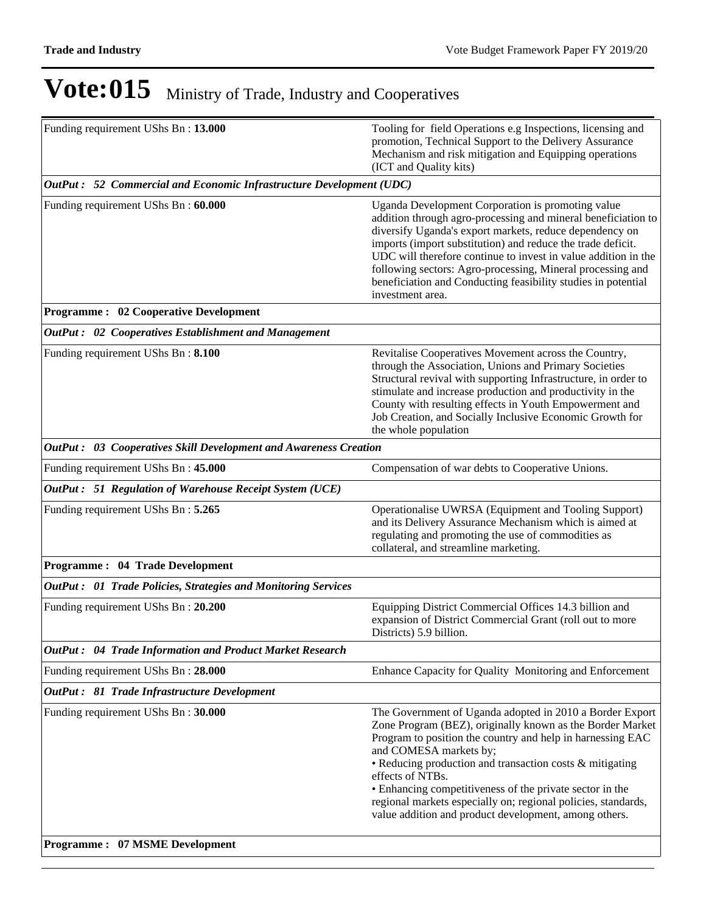| Funding requirement UShs Bn: 13.000                                   | Tooling for field Operations e.g Inspections, licensing and<br>promotion, Technical Support to the Delivery Assurance<br>Mechanism and risk mitigation and Equipping operations<br>(ICT and Quality kits)                                                                                                                                                                                                                                                                           |
|-----------------------------------------------------------------------|-------------------------------------------------------------------------------------------------------------------------------------------------------------------------------------------------------------------------------------------------------------------------------------------------------------------------------------------------------------------------------------------------------------------------------------------------------------------------------------|
| OutPut: 52 Commercial and Economic Infrastructure Development (UDC)   |                                                                                                                                                                                                                                                                                                                                                                                                                                                                                     |
| Funding requirement UShs Bn: 60.000                                   | Uganda Development Corporation is promoting value<br>addition through agro-processing and mineral beneficiation to<br>diversify Uganda's export markets, reduce dependency on<br>imports (import substitution) and reduce the trade deficit.<br>UDC will therefore continue to invest in value addition in the<br>following sectors: Agro-processing, Mineral processing and<br>beneficiation and Conducting feasibility studies in potential<br>investment area.                   |
| <b>Programme: 02 Cooperative Development</b>                          |                                                                                                                                                                                                                                                                                                                                                                                                                                                                                     |
| OutPut: 02 Cooperatives Establishment and Management                  |                                                                                                                                                                                                                                                                                                                                                                                                                                                                                     |
| Funding requirement UShs Bn: 8.100                                    | Revitalise Cooperatives Movement across the Country,<br>through the Association, Unions and Primary Societies<br>Structural revival with supporting Infrastructure, in order to<br>stimulate and increase production and productivity in the<br>County with resulting effects in Youth Empowerment and<br>Job Creation, and Socially Inclusive Economic Growth for<br>the whole population                                                                                          |
| OutPut: 03 Cooperatives Skill Development and Awareness Creation      |                                                                                                                                                                                                                                                                                                                                                                                                                                                                                     |
| Funding requirement UShs Bn: 45.000                                   | Compensation of war debts to Cooperative Unions.                                                                                                                                                                                                                                                                                                                                                                                                                                    |
| OutPut: 51 Regulation of Warehouse Receipt System (UCE)               |                                                                                                                                                                                                                                                                                                                                                                                                                                                                                     |
| Funding requirement UShs Bn: 5.265                                    | Operationalise UWRSA (Equipment and Tooling Support)<br>and its Delivery Assurance Mechanism which is aimed at<br>regulating and promoting the use of commodities as<br>collateral, and streamline marketing.                                                                                                                                                                                                                                                                       |
| Programme: 04 Trade Development                                       |                                                                                                                                                                                                                                                                                                                                                                                                                                                                                     |
| <b>OutPut : 01 Trade Policies, Strategies and Monitoring Services</b> |                                                                                                                                                                                                                                                                                                                                                                                                                                                                                     |
| Funding requirement UShs Bn: 20.200                                   | Equipping District Commercial Offices 14.3 billion and<br>expansion of District Commercial Grant (roll out to more<br>Districts) 5.9 billion.                                                                                                                                                                                                                                                                                                                                       |
| OutPut: 04 Trade Information and Product Market Research              |                                                                                                                                                                                                                                                                                                                                                                                                                                                                                     |
| Funding requirement UShs Bn: 28.000                                   | Enhance Capacity for Quality Monitoring and Enforcement                                                                                                                                                                                                                                                                                                                                                                                                                             |
| OutPut: 81 Trade Infrastructure Development                           |                                                                                                                                                                                                                                                                                                                                                                                                                                                                                     |
| Funding requirement UShs Bn: 30.000                                   | The Government of Uganda adopted in 2010 a Border Export<br>Zone Program (BEZ), originally known as the Border Market<br>Program to position the country and help in harnessing EAC<br>and COMESA markets by;<br>• Reducing production and transaction costs & mitigating<br>effects of NTBs.<br>• Enhancing competitiveness of the private sector in the<br>regional markets especially on; regional policies, standards,<br>value addition and product development, among others. |
| <b>Programme: 07 MSME Development</b>                                 |                                                                                                                                                                                                                                                                                                                                                                                                                                                                                     |